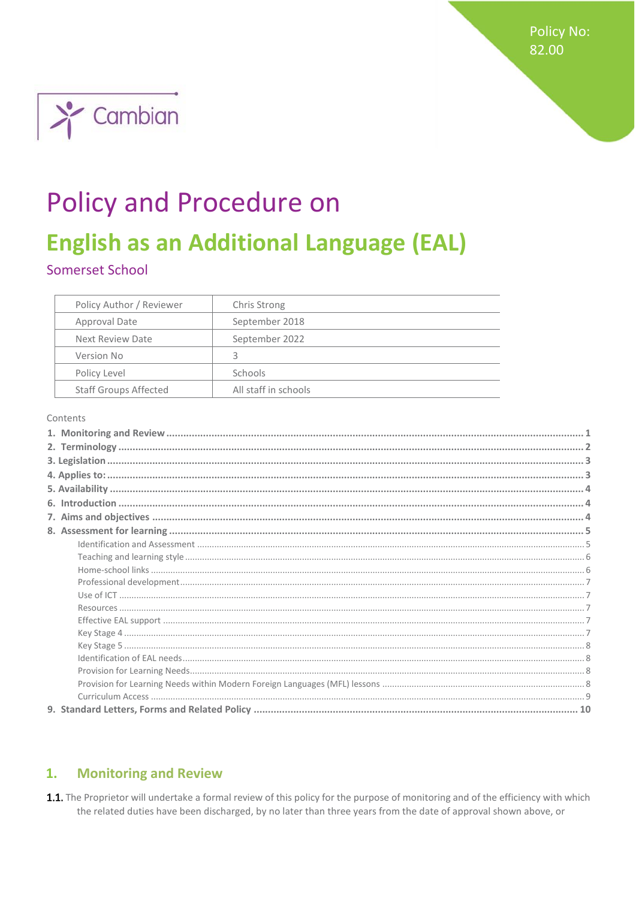**Policy No:** 82.00



# **Policy and Procedure on**

## **English as an Additional Language (EAL)**

## Somerset School

| Policy Author / Reviewer     | <b>Chris Strong</b>  |
|------------------------------|----------------------|
| Approval Date                | September 2018       |
| Next Review Date             | September 2022       |
| Version No                   | ς                    |
| Policy Level                 | Schools              |
| <b>Staff Groups Affected</b> | All staff in schools |

#### Contents

#### <span id="page-0-0"></span>**Monitoring and Review**  $1.$

1.1. The Proprietor will undertake a formal review of this policy for the purpose of monitoring and of the efficiency with which the related duties have been discharged, by no later than three years from the date of approval shown above, or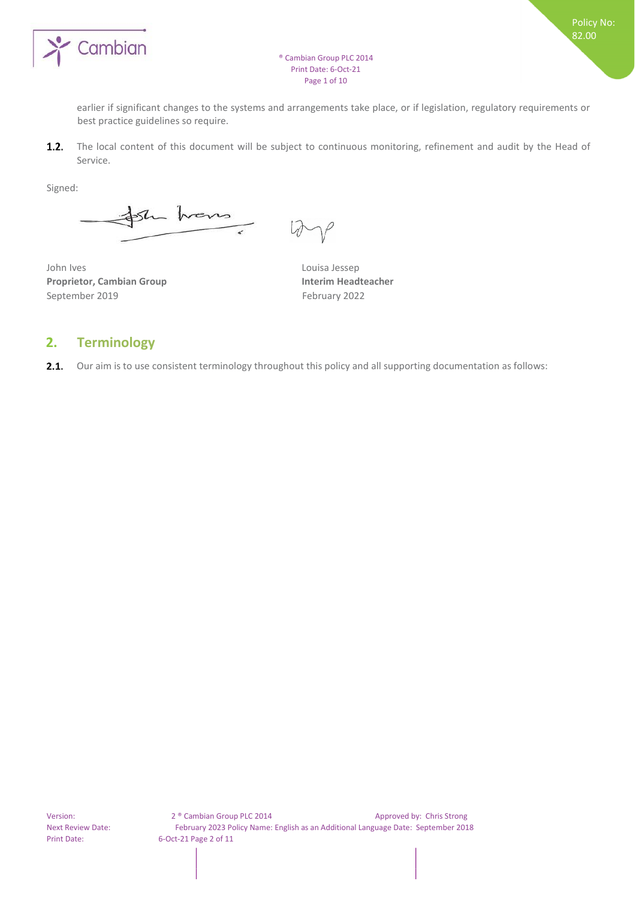

earlier if significant changes to the systems and arrangements take place, or if legislation, regulatory requirements or best practice guidelines so require.

 $1.2.$ The local content of this document will be subject to continuous monitoring, refinement and audit by the Head of Service.

Signed:

sh trens

John Ives Louisa Jessep **Proprietor, Cambian Group Interim Headteacher**  September 2019 February 2022

## <span id="page-1-0"></span>**2. Terminology**

2.1. Our aim is to use consistent terminology throughout this policy and all supporting documentation as follows: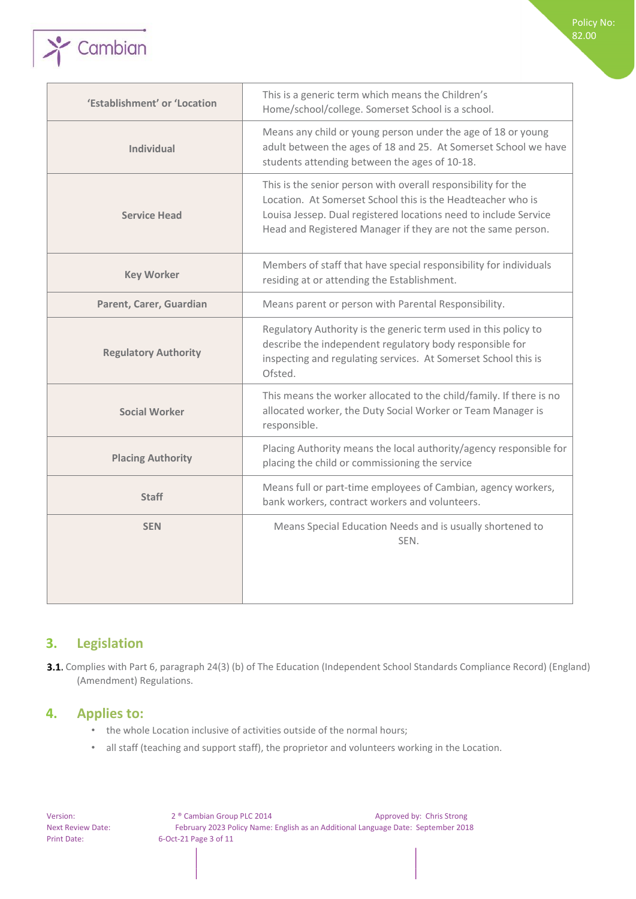

| 'Establishment' or 'Location | This is a generic term which means the Children's<br>Home/school/college. Somerset School is a school.                                                                                                                                                           |
|------------------------------|------------------------------------------------------------------------------------------------------------------------------------------------------------------------------------------------------------------------------------------------------------------|
| <b>Individual</b>            | Means any child or young person under the age of 18 or young<br>adult between the ages of 18 and 25. At Somerset School we have<br>students attending between the ages of 10-18.                                                                                 |
| <b>Service Head</b>          | This is the senior person with overall responsibility for the<br>Location. At Somerset School this is the Headteacher who is<br>Louisa Jessep. Dual registered locations need to include Service<br>Head and Registered Manager if they are not the same person. |
| <b>Key Worker</b>            | Members of staff that have special responsibility for individuals<br>residing at or attending the Establishment.                                                                                                                                                 |
| Parent, Carer, Guardian      | Means parent or person with Parental Responsibility.                                                                                                                                                                                                             |
| <b>Regulatory Authority</b>  | Regulatory Authority is the generic term used in this policy to<br>describe the independent regulatory body responsible for<br>inspecting and regulating services. At Somerset School this is<br>Ofsted.                                                         |
| <b>Social Worker</b>         | This means the worker allocated to the child/family. If there is no<br>allocated worker, the Duty Social Worker or Team Manager is<br>responsible.                                                                                                               |
| <b>Placing Authority</b>     | Placing Authority means the local authority/agency responsible for<br>placing the child or commissioning the service                                                                                                                                             |
| <b>Staff</b>                 | Means full or part-time employees of Cambian, agency workers,<br>bank workers, contract workers and volunteers.                                                                                                                                                  |
| <b>SEN</b>                   | Means Special Education Needs and is usually shortened to<br>SEN.                                                                                                                                                                                                |
|                              |                                                                                                                                                                                                                                                                  |

Policy No: 82.00

## <span id="page-2-0"></span>**3. Legislation**

3.1. Complies with Part 6, paragraph 24(3) (b) of The Education (Independent School Standards Compliance Record) (England) (Amendment) Regulations.

## <span id="page-2-1"></span>**4. Applies to:**

- the whole Location inclusive of activities outside of the normal hours;
- all staff (teaching and support staff), the proprietor and volunteers working in the Location.

Version: 2 ® Cambian Group PLC 2014 Approved by: Chris Strong Next Review Date: February 2023 Policy Name: English as an Additional Language Date: September 2018 Print Date: 6-Oct-21 Page 3 of 11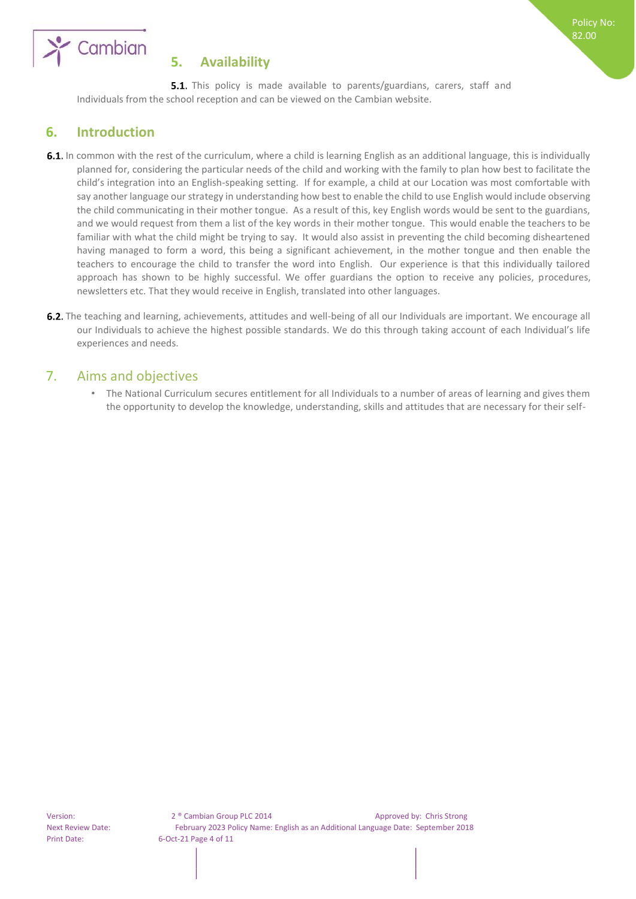

## <span id="page-3-0"></span>**5. Availability**

**5.1.** This policy is made available to parents/guardians, carers, staff and Individuals from the school reception and can be viewed on the Cambian website.

Policy No: 82.00

## <span id="page-3-1"></span>**6. Introduction**

- 6.1. In common with the rest of the curriculum, where a child is learning English as an additional language, this is individually planned for, considering the particular needs of the child and working with the family to plan how best to facilitate the child's integration into an English-speaking setting. If for example, a child at our Location was most comfortable with say another language our strategy in understanding how best to enable the child to use English would include observing the child communicating in their mother tongue. As a result of this, key English words would be sent to the guardians, and we would request from them a list of the key words in their mother tongue. This would enable the teachers to be familiar with what the child might be trying to say. It would also assist in preventing the child becoming disheartened having managed to form a word, this being a significant achievement, in the mother tongue and then enable the teachers to encourage the child to transfer the word into English. Our experience is that this individually tailored approach has shown to be highly successful. We offer guardians the option to receive any policies, procedures, newsletters etc. That they would receive in English, translated into other languages.
- **6.2.** The teaching and learning, achievements, attitudes and well-being of all our Individuals are important. We encourage all our Individuals to achieve the highest possible standards. We do this through taking account of each Individual's life experiences and needs.

## <span id="page-3-2"></span>7. Aims and objectives

• The National Curriculum secures entitlement for all Individuals to a number of areas of learning and gives them the opportunity to develop the knowledge, understanding, skills and attitudes that are necessary for their self-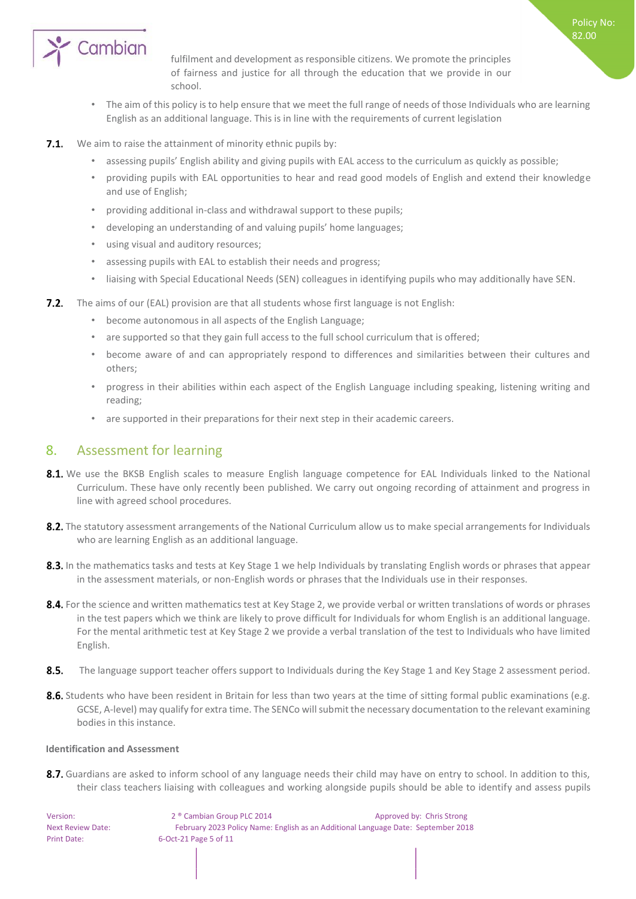

fulfilment and development as responsible citizens. We promote the principles of fairness and justice for all through the education that we provide in our school.

Policy No: 82.00

- The aim of this policy is to help ensure that we meet the full range of needs of those Individuals who are learning English as an additional language. This is in line with the requirements of current legislation
- **7.1.** We aim to raise the attainment of minority ethnic pupils by:
	- assessing pupils' English ability and giving pupils with EAL access to the curriculum as quickly as possible;
	- providing pupils with EAL opportunities to hear and read good models of English and extend their knowledge and use of English;
	- providing additional in-class and withdrawal support to these pupils;
	- developing an understanding of and valuing pupils' home languages;
	- using visual and auditory resources;
	- assessing pupils with EAL to establish their needs and progress;
	- liaising with Special Educational Needs (SEN) colleagues in identifying pupils who may additionally have SEN.
- **7.2.** The aims of our (EAL) provision are that all students whose first language is not English:
	- become autonomous in all aspects of the English Language;
	- are supported so that they gain full access to the full school curriculum that is offered;
	- become aware of and can appropriately respond to differences and similarities between their cultures and others;
	- progress in their abilities within each aspect of the English Language including speaking, listening writing and reading;
	- are supported in their preparations for their next step in their academic careers.

## <span id="page-4-0"></span>8. Assessment for learning

- 8.1. We use the BKSB English scales to measure English language competence for EAL Individuals linked to the National Curriculum. These have only recently been published. We carry out ongoing recording of attainment and progress in line with agreed school procedures.
- 8.2. The statutory assessment arrangements of the National Curriculum allow us to make special arrangements for Individuals who are learning English as an additional language.
- 8.3. In the mathematics tasks and tests at Key Stage 1 we help Individuals by translating English words or phrases that appear in the assessment materials, or non-English words or phrases that the Individuals use in their responses.
- 8.4. For the science and written mathematics test at Key Stage 2, we provide verbal or written translations of words or phrases in the test papers which we think are likely to prove difficult for Individuals for whom English is an additional language. For the mental arithmetic test at Key Stage 2 we provide a verbal translation of the test to Individuals who have limited English.
- $8.5.$ The language support teacher offers support to Individuals during the Key Stage 1 and Key Stage 2 assessment period.
- 8.6. Students who have been resident in Britain for less than two years at the time of sitting formal public examinations (e.g. GCSE, A-level) may qualify for extra time. The SENCo will submit the necessary documentation to the relevant examining bodies in this instance.

#### <span id="page-4-1"></span>**Identification and Assessment**

8.7. Guardians are asked to inform school of any language needs their child may have on entry to school. In addition to this, their class teachers liaising with colleagues and working alongside pupils should be able to identify and assess pupils

Version: 2 ® Cambian Group PLC 2014 Approved by: Chris Strong Next Review Date: February 2023 Policy Name: English as an Additional Language Date: September 2018 Print Date: 6-Oct-21 Page 5 of 11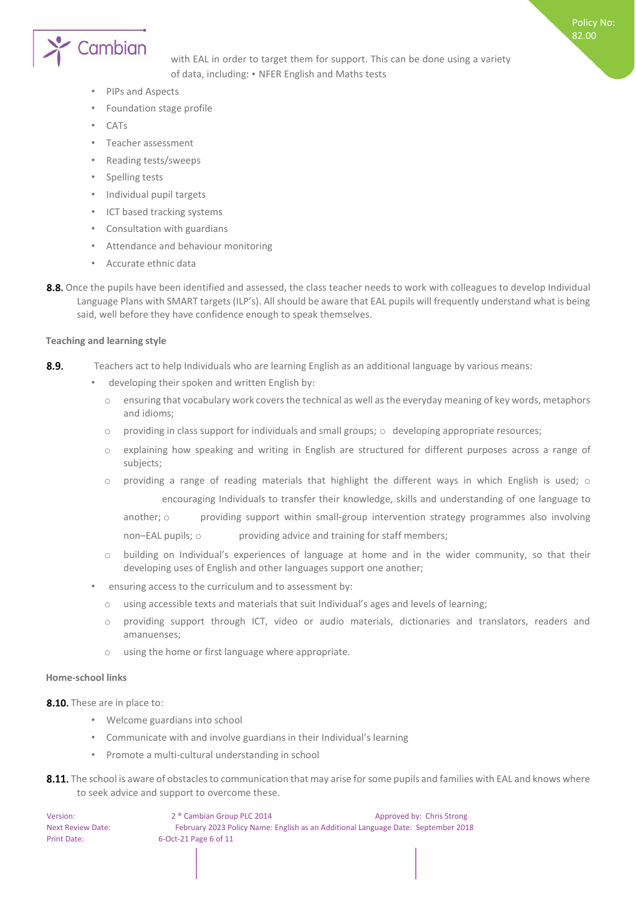

with EAL in order to target them for support. This can be done using a variety of data, including: • NFER English and Maths tests

Policy No: 82.00

- PIPs and Aspects
- Foundation stage profile
- CATs
- Teacher assessment
- Reading tests/sweeps
- Spelling tests
- Individual pupil targets
- ICT based tracking systems
- Consultation with guardians
- Attendance and behaviour monitoring
- Accurate ethnic data
- 8.8. Once the pupils have been identified and assessed, the class teacher needs to work with colleagues to develop Individual Language Plans with SMART targets (ILP's). All should be aware that EAL pupils will frequently understand what is being said, well before they have confidence enough to speak themselves.

#### <span id="page-5-0"></span>**Teaching and learning style**

- 8.9. Teachers act to help Individuals who are learning English as an additional language by various means:
	- developing their spoken and written English by:
		- o ensuring that vocabulary work covers the technical as well as the everyday meaning of key words, metaphors and idioms;
		- $\circ$  providing in class support for individuals and small groups;  $\circ$  developing appropriate resources;
		- o explaining how speaking and writing in English are structured for different purposes across a range of subjects;
		- $\circ$  providing a range of reading materials that highlight the different ways in which English is used;  $\circ$ encouraging Individuals to transfer their knowledge, skills and understanding of one language to

another; o providing support within small-group intervention strategy programmes also involving non–EAL pupils; o providing advice and training for staff members;

- o building on Individual's experiences of language at home and in the wider community, so that their developing uses of English and other languages support one another;
- ensuring access to the curriculum and to assessment by:
	- o using accessible texts and materials that suit Individual's ages and levels of learning;
	- o providing support through ICT, video or audio materials, dictionaries and translators, readers and amanuenses;
	- o using the home or first language where appropriate.

#### <span id="page-5-1"></span>**Home-school links**

8.10. These are in place to:

- Welcome guardians into school
- Communicate with and involve guardians in their Individual's learning
- Promote a multi-cultural understanding in school
- 8.11. The school is aware of obstacles to communication that may arise for some pupils and families with EAL and knows where to seek advice and support to overcome these.

| Version:                 | 2 <sup>®</sup> Cambian Group PLC 2014 | Approved by: Chris Strong                                                         |
|--------------------------|---------------------------------------|-----------------------------------------------------------------------------------|
| <b>Next Review Date:</b> |                                       | February 2023 Policy Name: English as an Additional Language Date: September 2018 |
| Print Date:              | 6-Oct-21 Page 6 of 11                 |                                                                                   |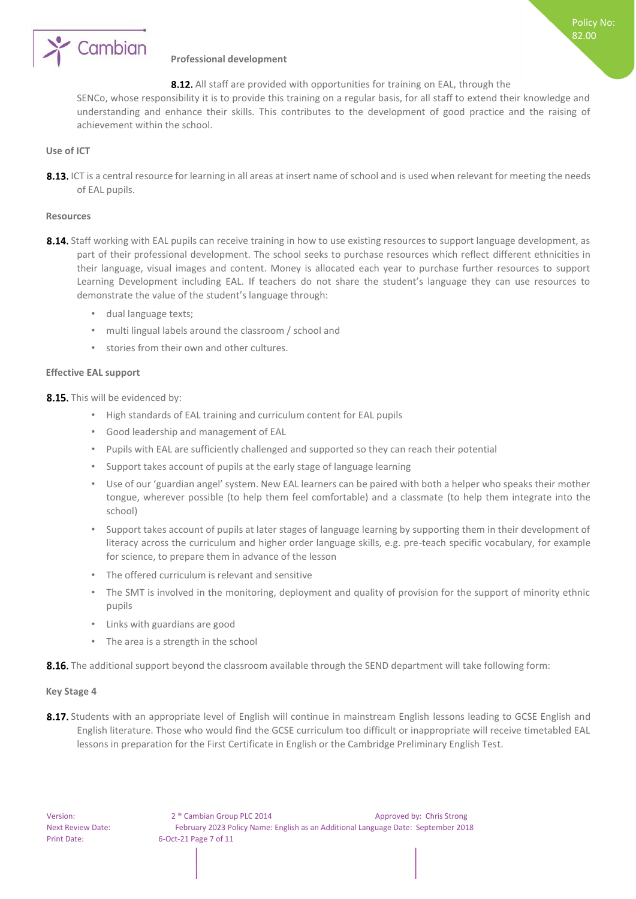

#### <span id="page-6-0"></span>**Professional development**

### 8.12. All staff are provided with opportunities for training on EAL, through the

Policy No: 82.00

SENCo, whose responsibility it is to provide this training on a regular basis, for all staff to extend their knowledge and understanding and enhance their skills. This contributes to the development of good practice and the raising of achievement within the school.

#### <span id="page-6-1"></span>**Use of ICT**

8.13. ICT is a central resource for learning in all areas at insert name of school and is used when relevant for meeting the needs of EAL pupils.

#### <span id="page-6-2"></span>**Resources**

- 8.14. Staff working with EAL pupils can receive training in how to use existing resources to support language development, as part of their professional development. The school seeks to purchase resources which reflect different ethnicities in their language, visual images and content. Money is allocated each year to purchase further resources to support Learning Development including EAL. If teachers do not share the student's language they can use resources to demonstrate the value of the student's language through:
	- dual language texts;
	- multi lingual labels around the classroom / school and
	- stories from their own and other cultures.

#### <span id="page-6-3"></span>**Effective EAL support**

8.15. This will be evidenced by:

- High standards of EAL training and curriculum content for EAL pupils
- Good leadership and management of EAL
- Pupils with EAL are sufficiently challenged and supported so they can reach their potential
- Support takes account of pupils at the early stage of language learning
- Use of our 'guardian angel' system. New EAL learners can be paired with both a helper who speaks their mother tongue, wherever possible (to help them feel comfortable) and a classmate (to help them integrate into the school)
- Support takes account of pupils at later stages of language learning by supporting them in their development of literacy across the curriculum and higher order language skills, e.g. pre-teach specific vocabulary, for example for science, to prepare them in advance of the lesson
- The offered curriculum is relevant and sensitive
- The SMT is involved in the monitoring, deployment and quality of provision for the support of minority ethnic pupils
- Links with guardians are good
- The area is a strength in the school

8.16. The additional support beyond the classroom available through the SEND department will take following form:

#### <span id="page-6-4"></span>**Key Stage 4**

8.17. Students with an appropriate level of English will continue in mainstream English lessons leading to GCSE English and English literature. Those who would find the GCSE curriculum too difficult or inappropriate will receive timetabled EAL lessons in preparation for the First Certificate in English or the Cambridge Preliminary English Test.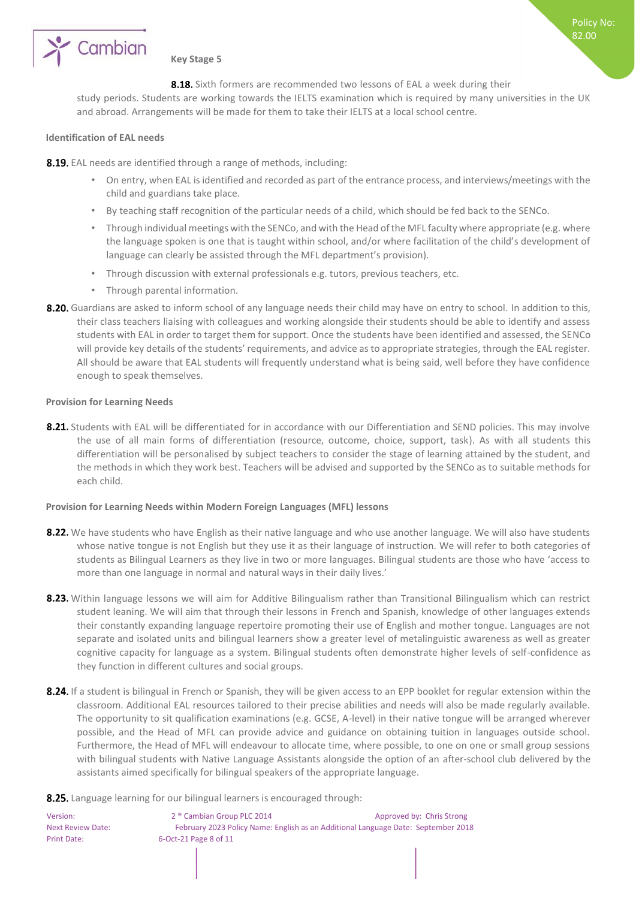

#### <span id="page-7-0"></span>**Key Stage 5**

8.18. Sixth formers are recommended two lessons of EAL a week during their

Policy No: 82.00

study periods. Students are working towards the IELTS examination which is required by many universities in the UK and abroad. Arrangements will be made for them to take their IELTS at a local school centre.

#### <span id="page-7-1"></span>**Identification of EAL needs**

8.19. EAL needs are identified through a range of methods, including:

- On entry, when EAL is identified and recorded as part of the entrance process, and interviews/meetings with the child and guardians take place.
- By teaching staff recognition of the particular needs of a child, which should be fed back to the SENCo.
- Through individual meetings with the SENCo, and with the Head of the MFL faculty where appropriate (e.g. where the language spoken is one that is taught within school, and/or where facilitation of the child's development of language can clearly be assisted through the MFL department's provision).
- Through discussion with external professionals e.g. tutors, previous teachers, etc.
- Through parental information.
- 8.20. Guardians are asked to inform school of any language needs their child may have on entry to school. In addition to this, their class teachers liaising with colleagues and working alongside their students should be able to identify and assess students with EAL in order to target them for support. Once the students have been identified and assessed, the SENCo will provide key details of the students' requirements, and advice as to appropriate strategies, through the EAL register. All should be aware that EAL students will frequently understand what is being said, well before they have confidence enough to speak themselves.

#### <span id="page-7-2"></span>**Provision for Learning Needs**

8.21. Students with EAL will be differentiated for in accordance with our Differentiation and SEND policies. This may involve the use of all main forms of differentiation (resource, outcome, choice, support, task). As with all students this differentiation will be personalised by subject teachers to consider the stage of learning attained by the student, and the methods in which they work best. Teachers will be advised and supported by the SENCo as to suitable methods for each child.

#### <span id="page-7-3"></span>**Provision for Learning Needs within Modern Foreign Languages (MFL) lessons**

- 8.22. We have students who have English as their native language and who use another language. We will also have students whose native tongue is not English but they use it as their language of instruction. We will refer to both categories of students as Bilingual Learners as they live in two or more languages. Bilingual students are those who have 'access to more than one language in normal and natural ways in their daily lives.'
- 8.23. Within language lessons we will aim for Additive Bilingualism rather than Transitional Bilingualism which can restrict student leaning. We will aim that through their lessons in French and Spanish, knowledge of other languages extends their constantly expanding language repertoire promoting their use of English and mother tongue. Languages are not separate and isolated units and bilingual learners show a greater level of metalinguistic awareness as well as greater cognitive capacity for language as a system. Bilingual students often demonstrate higher levels of self-confidence as they function in different cultures and social groups.
- 8.24. If a student is bilingual in French or Spanish, they will be given access to an EPP booklet for regular extension within the classroom. Additional EAL resources tailored to their precise abilities and needs will also be made regularly available. The opportunity to sit qualification examinations (e.g. GCSE, A-level) in their native tongue will be arranged wherever possible, and the Head of MFL can provide advice and guidance on obtaining tuition in languages outside school. Furthermore, the Head of MFL will endeavour to allocate time, where possible, to one on one or small group sessions with bilingual students with Native Language Assistants alongside the option of an after-school club delivered by the assistants aimed specifically for bilingual speakers of the appropriate language.

8.25. Language learning for our bilingual learners is encouraged through:

Version: 2 ® Cambian Group PLC 2014 Approved by: Chris Strong Next Review Date: February 2023 Policy Name: English as an Additional Language Date: September 2018 Print Date: 6-Oct-21 Page 8 of 11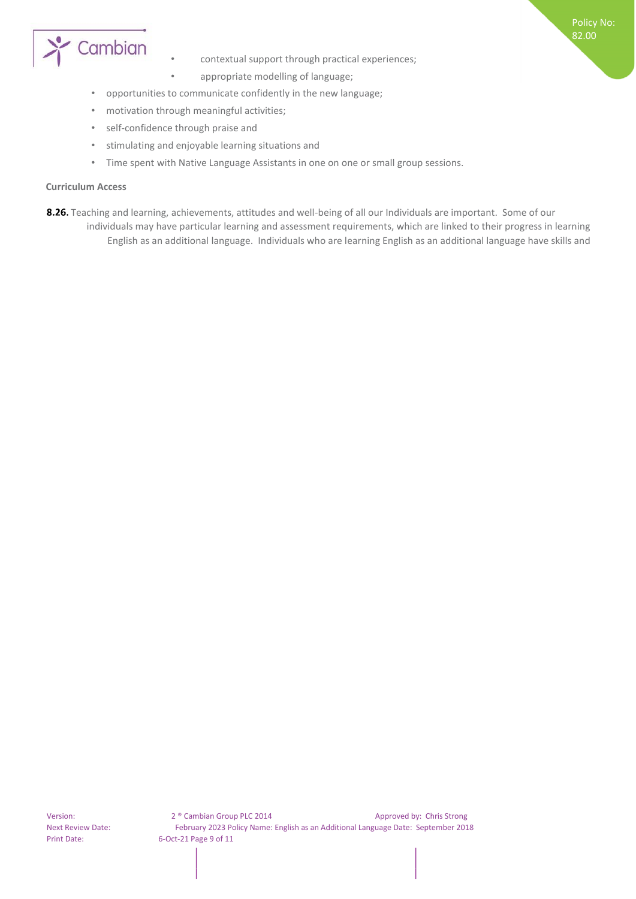

• contextual support through practical experiences;

Policy No: 82.00

- appropriate modelling of language;
- opportunities to communicate confidently in the new language;
- motivation through meaningful activities;
- self-confidence through praise and
- stimulating and enjoyable learning situations and
- Time spent with Native Language Assistants in one on one or small group sessions.

#### <span id="page-8-0"></span>**Curriculum Access**

8.26. Teaching and learning, achievements, attitudes and well-being of all our Individuals are important. Some of our individuals may have particular learning and assessment requirements, which are linked to their progress in learning English as an additional language. Individuals who are learning English as an additional language have skills and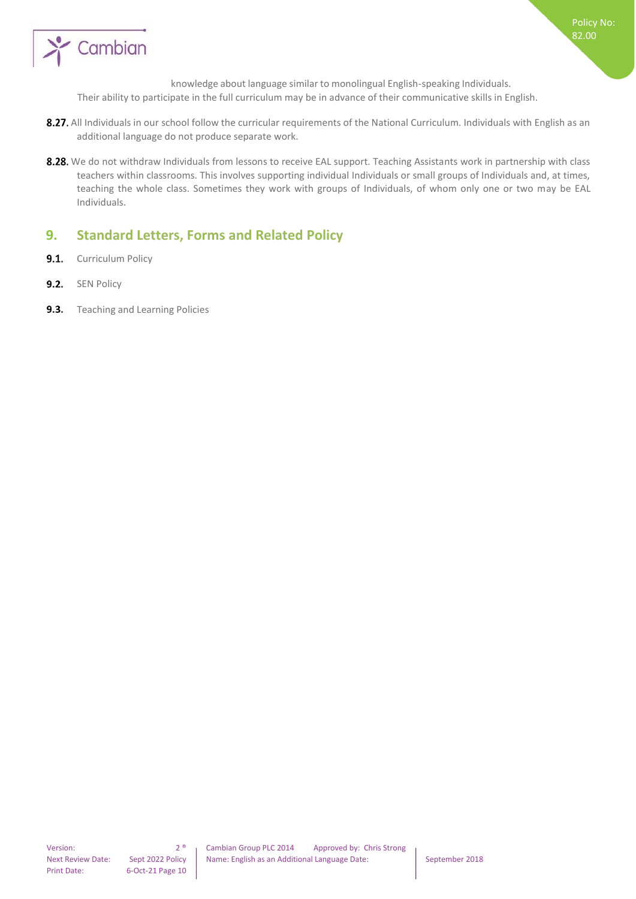

knowledge about language similar to monolingual English-speaking Individuals.

Policy No: 82.00

Their ability to participate in the full curriculum may be in advance of their communicative skills in English.

- 8.27. All Individuals in our school follow the curricular requirements of the National Curriculum. Individuals with English as an additional language do not produce separate work.
- 8.28. We do not withdraw Individuals from lessons to receive EAL support. Teaching Assistants work in partnership with class teachers within classrooms. This involves supporting individual Individuals or small groups of Individuals and, at times, teaching the whole class. Sometimes they work with groups of Individuals, of whom only one or two may be EAL Individuals.

## <span id="page-9-0"></span>**9. Standard Letters, Forms and Related Policy**

- $9.1.$ Curriculum Policy
- $9.2.$ SEN Policy
- $9.3.$ Teaching and Learning Policies